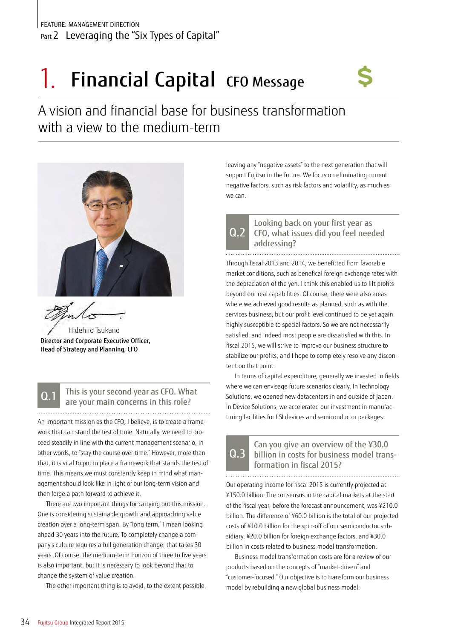# 1. Financial Capital CFO Message

A vision and financial base for business transformation with a view to the medium-term



Hidehiro Tsukano Director and Corporate Executive Officer, Head of Strategy and Planning, CFO

#### This is your second year as CFO. What are your main concerns in this role? Q.1

An important mission as the CFO, I believe, is to create a framework that can stand the test of time. Naturally, we need to proceed steadily in line with the current management scenario, in other words, to "stay the course over time." However, more than that, it is vital to put in place a framework that stands the test of time. This means we must constantly keep in mind what management should look like in light of our long-term vision and then forge a path forward to achieve it.

There are two important things for carrying out this mission. One is considering sustainable growth and approaching value creation over a long-term span. By "long term," I mean looking ahead 30 years into the future. To completely change a company's culture requires a full generation change; that takes 30 years. Of course, the medium-term horizon of three to five years is also important, but it is necessary to look beyond that to change the system of value creation.

The other important thing is to avoid, to the extent possible,

leaving any "negative assets" to the next generation that will support Fujitsu in the future. We focus on eliminating current negative factors, such as risk factors and volatility, as much as we can.



Looking back on your first year as CFO, what issues did you feel needed addressing?

Through fiscal 2013 and 2014, we benefitted from favorable market conditions, such as benefical foreign exchange rates with the depreciation of the yen. I think this enabled us to lift profits beyond our real capabilities. Of course, there were also areas where we achieved good results as planned, such as with the services business, but our profit level continued to be yet again highly susceptible to special factors. So we are not necessarily satisfied, and indeed most people are dissatisfied with this. In fiscal 2015, we will strive to improve our business structure to stabilize our profits, and I hope to completely resolve any discontent on that point.

In terms of capital expenditure, generally we invested in fields where we can envisage future scenarios clearly. In Technology Solutions, we opened new datacenters in and outside of Japan. In Device Solutions, we accelerated our investment in manufacturing facilities for LSI devices and semiconductor packages.

### Can you give an overview of the ¥30.0 billion in costs for business model transformation in fiscal 2015?  $0<sub>3</sub>$

Our operating income for fiscal 2015 is currently projected at ¥150.0 billion. The consensus in the capital markets at the start of the fiscal year, before the forecast announcement, was ¥210.0 billion. The difference of ¥60.0 billion is the total of our projected costs of ¥10.0 billion for the spin-off of our semiconductor subsidiary, ¥20.0 billion for foreign exchange factors, and ¥30.0 billion in costs related to business model transformation.

Business model transformation costs are for a review of our products based on the concepts of "market-driven" and "customer-focused." Our objective is to transform our business model by rebuilding a new global business model.